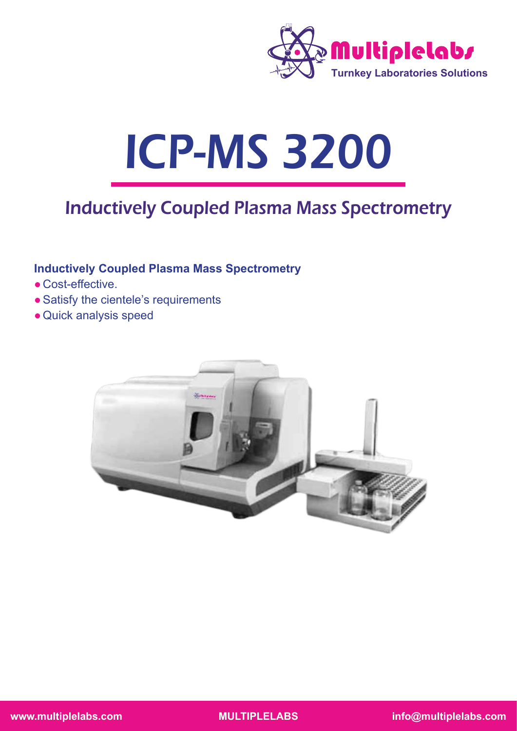

# ICP-MS 3200

# Inductively Coupled Plasma Mass Spectrometry

# **Inductively Coupled Plasma Mass Spectrometry**

- Cost-effective.
- Satisfy the cientele's requirements
- Quick analysis speed

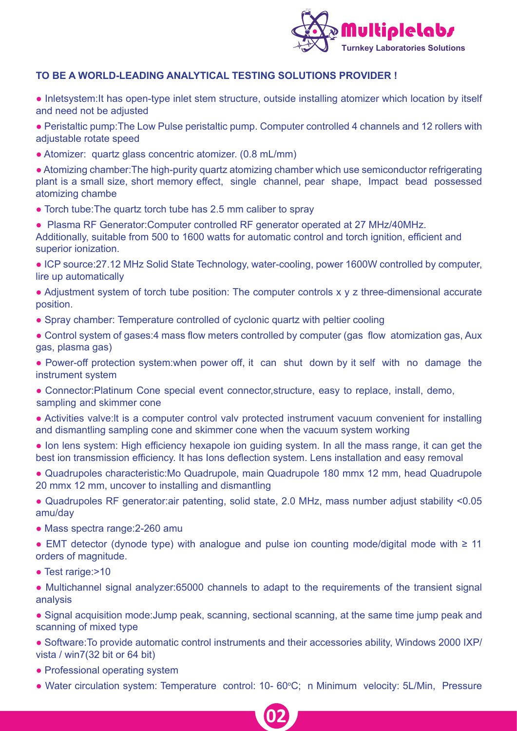

#### **TO BE A WORLD-LEADING ANALYTICAL TESTING SOLUTIONS PROVIDER !**

• Inletsystem: It has open-type inlet stem structure, outside installing atomizer which location by itself and need not be adjusted

● Peristaltic pump:The Low Pulse peristaltic pump. Computer controlled 4 channels and 12 rollers with adjustable rotate speed

• Atomizer: quartz glass concentric atomizer. (0.8 mL/mm)

• Atomizing chamber: The high-purity quartz atomizing chamber which use semiconductor refrigerating plant is a small size, short memory effect, single channel, pear shape, Impact bead possessed atomizing chambe

- Torch tube: The quartz torch tube has 2.5 mm caliber to spray
- Plasma RF Generator:Computer controlled RF generator operated at 27 MHz/40MHz. Additionally, suitable from 500 to 1600 watts for automatic control and torch ignition, efficient and superior ionization.

● ICP source:27.12 MHz Solid State Technology, water-cooling, power 1600W controlled by computer, lire up automatically

- Adjustment system of torch tube position: The computer controls x y z three-dimensional accurate position.
- Spray chamber: Temperature controlled of cyclonic quartz with peltier cooling
- Control system of gases:4 mass flow meters controlled by computer (gas flow atomization gas, Aux gas, plasma gas)
- Power-off protection system: when power off, it can shut down by it self with no damage the instrument system
- Connector:Platinum Cone special event connector, structure, easy to replace, install, demo, sampling and skimmer cone
- Activities valve:lt is a computer control valv protected instrument vacuum convenient for installing and dismantling sampling cone and skimmer cone when the vacuum system working
- Ion lens system: High efficiency hexapole ion guiding system. In all the mass range, it can get the best ion transmission efficiency. It has Ions deflection system. Lens installation and easy removal
- Quadrupoles characteristic:Mo Quadrupole, main Quadrupole 180 mmx 12 mm, head Quadrupole 20 mmx 12 mm, uncover to installing and dismantling
- Quadrupoles RF generator:air patenting, solid state, 2.0 MHz, mass number adjust stability <0.05 amu/day
- Mass spectra range: 2-260 amu
- $\bullet$  EMT detector (dynode type) with analogue and pulse ion counting mode/digital mode with ≥ 11 orders of magnitude.
- Test rarige:>10
- Multichannel signal analyzer:65000 channels to adapt to the requirements of the transient signal analysis
- Signal acquisition mode:Jump peak, scanning, sectional scanning, at the same time jump peak and scanning of mixed type
- Software: To provide automatic control instruments and their accessories ability, Windows 2000 IXP/ vista / win7(32 bit or 64 bit)
- Professional operating system
- Water circulation system: Temperature control: 10- 60°C; n Minimum velocity: 5L/Min, Pressure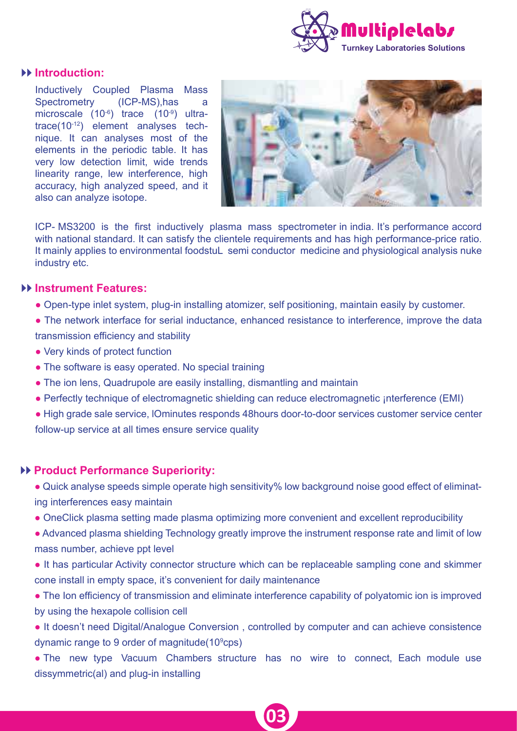

#### **Introduction:**

Inductively Coupled Plasma Mass Spectrometry (ICP-MS), has a microscale (10-6) trace (10-9) ultratrace(10-12) element analyses technique. It can analyses most of the elements in the periodic table. It has very low detection limit, wide trends linearity range, lew interference, high accuracy, high analyzed speed, and it also can analyze isotope.



ICP- MS3200 is the first inductively plasma mass spectrometer in india. It's performance accord with national standard. It can satisfy the clientele requirements and has high performance-price ratio. It mainly applies to environmental foodstuL semi conductor medicine and physiological analysis nuke industry etc.

#### **Instrument Features:**

- Open-type inlet system, plug-in installing atomizer, self positioning, maintain easily by customer.
- The network interface for serial inductance, enhanced resistance to interference, improve the data transmission efficiency and stability
- Very kinds of protect function
- The software is easy operated. No special training
- The ion lens, Quadrupole are easily installing, dismantling and maintain
- Perfectly technique of electromagnetic shielding can reduce electromagnetic ¡nterference (EMI)
- High grade sale service, lOminutes responds 48hours door-to-door services customer service center follow-up service at all times ensure service quality

#### **Product Performance Superiority:**

- Quick analyse speeds simple operate high sensitivity% low background noise good effect of eliminating interferences easy maintain
- OneClick plasma setting made plasma optimizing more convenient and excellent reproducibility
- Advanced plasma shielding Technology greatly improve the instrument response rate and limit of low mass number, achieve ppt level
- It has particular Activity connector structure which can be replaceable sampling cone and skimmer cone install in empty space, it's convenient for daily maintenance
- The Ion efficiency of transmission and eliminate interference capability of polyatomic ion is improved by using the hexapole collision cell
- It doesn't need Digital/Analogue Conversion , controlled by computer and can achieve consistence dynamic range to 9 order of magnitude(10<sup>9</sup>cps)
- The new type Vacuum Chambers structure has no wire to connect, Each module use dissymmetric(al) and plug-in installing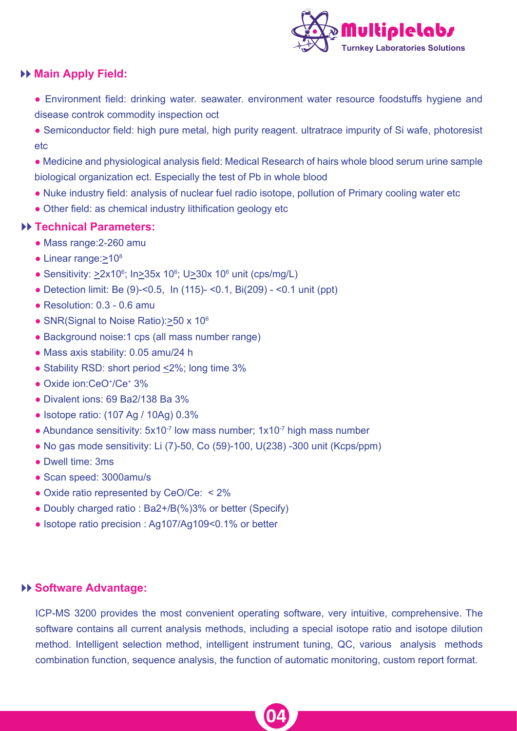

## **Main Apply Field:**

- Environment field: drinking water. seawater. environment water resource foodstuffs hygiene and disease controk commodity inspection oct
- Semiconductor field: high pure metal, high purity reagent. ultratrace impurity of Si wafe, photoresist etc
- Medicine and physiological analysis field: Medical Research of hairs whole blood serum urine sample biological organization ect. Especially the test of Pb in whole blood
- Nuke industry field: analysis of nuclear fuel radio isotope, pollution of Primary cooling water etc
- Other field: as chemical industry lithification geology etc

#### **Technical Parameters:**

- Mass range:2-260 amu
- Linear range:>10<sup>8</sup>
- Sensitivity:  $\geq 2 \times 10^6$ ; In $\geq 35 \times 10^6$ ; U $\geq 30 \times 10^6$  unit (cps/mg/L)
- Detection limit: Be (9)-<0.5, In (115)- <0.1, Bi(209) <0.1 unit (ppt)
- $\bullet$  Resolution: 0.3 0.6 amu
- SNR(Signal to Noise Ratio):>50 x 10<sup>6</sup>
- Background noise:1 cps (all mass number range)
- Mass axis stability: 0.05 amu/24 h
- Stability RSD: short period  $\leq$ 2%; long time 3%
- Oxide ion:CeO<sup>+</sup>/Ce<sup>+</sup> 3%
- Divalent ions: 69 Ba2/138 Ba 3%
- Isotope ratio: (107 Ag / 10Ag) 0.3%
- Abundance sensitivity:  $5x10^{-7}$  low mass number;  $1x10^{-7}$  high mass number
- $\bullet$  No gas mode sensitivity: Li (7)-50, Co (59)-100, U(238) -300 unit (Kcps/ppm)
- Dwell time: 3ms
- Scan speed: 3000amu/s
- Oxide ratio represented by CeO/Ce: < 2%
- Doubly charged ratio : Ba2+/B(%)3% or better (Specify)
- Isotope ratio precision : Ag107/Ag109<0.1% or better

#### **Software Advantage:**

ICP-MS 3200 provides the most convenient operating software, very intuitive, comprehensive. The software contains all current analysis methods, including a special isotope ratio and isotope dilution method. Intelligent selection method, intelligent instrument tuning, QC, various analysis methods combination function, sequence analysis, the function of automatic monitoring, custom report format.